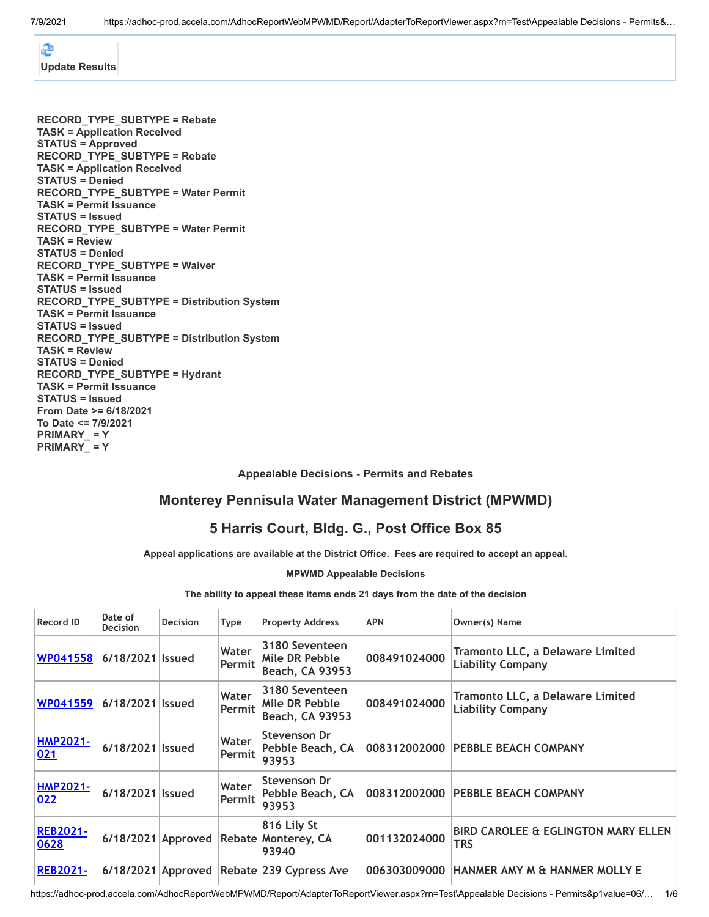æ **[Update Results](javascript:HORR_UpdateContent()**

**RECORD\_TYPE\_SUBTYPE = Rebate TASK = Application Received STATUS = Approved RECORD\_TYPE\_SUBTYPE = Rebate TASK = Application Received STATUS = Denied RECORD\_TYPE\_SUBTYPE = Water Permit TASK = Permit Issuance STATUS = Issued RECORD\_TYPE\_SUBTYPE = Water Permit TASK = Review STATUS = Denied RECORD\_TYPE\_SUBTYPE = Waiver TASK = Permit Issuance STATUS = Issued RECORD\_TYPE\_SUBTYPE = Distribution System TASK = Permit Issuance STATUS = Issued RECORD\_TYPE\_SUBTYPE = Distribution System TASK = Review STATUS = Denied RECORD\_TYPE\_SUBTYPE = Hydrant TASK = Permit Issuance STATUS = Issued From Date >= 6/18/2021 To Date <= 7/9/2021 PRIMARY\_ = Y PRIMARY\_ = Y**

**Appealable Decisions - Permits and Rebates**

## **Monterey Pennisula Water Management District (MPWMD)**

## **5 Harris Court, Bldg. G., Post Office Box 85**

**Appeal applications are available at the District Office. Fees are required to accept an appeal.**

**MPWMD Appealable Decisions**

**The ability to appeal these items ends 21 days from the date of the decision**

| <b>Record ID</b>        | Date of<br><b>Decision</b> | <b>Decision</b> | <b>Type</b>     | <b>Property Address</b>                                        | <b>APN</b>   | Owner(s) Name                                                |
|-------------------------|----------------------------|-----------------|-----------------|----------------------------------------------------------------|--------------|--------------------------------------------------------------|
| <b>WP041558</b>         | 6/18/2021 Issued           |                 | Water<br>Permit | 3180 Seventeen<br>Mile DR Pebble<br><b>Beach, CA 93953</b>     | 008491024000 | Tramonto LLC, a Delaware Limited<br><b>Liability Company</b> |
| <b>WP041559</b>         | 6/18/2021 Issued           |                 | Water<br>Permit | 3180 Seventeen<br>Mile DR Pebble<br><b>Beach, CA 93953</b>     | 008491024000 | Tramonto LLC, a Delaware Limited<br><b>Liability Company</b> |
| <b>HMP2021-</b><br>021  | 6/18/2021   Issued         |                 | Water<br>Permit | Stevenson Dr<br>Pebble Beach, CA<br>93953                      | 008312002000 | <b>PEBBLE BEACH COMPANY</b>                                  |
| <b>HMP2021-</b><br>022  | 6/18/2021 Issued           |                 | Water<br>Permit | Stevenson Dr<br>Pebble Beach, CA<br>93953                      |              | 008312002000 PEBBLE BEACH COMPANY                            |
| <b>REB2021-</b><br>0628 |                            |                 |                 | 816 Lily St<br>6/18/2021 Approved Rebate Monterey, CA<br>93940 | 001132024000 | <b>BIRD CAROLEE &amp; EGLINGTON MARY ELLEN</b><br>TRS        |
| <b>REB2021-</b>         |                            |                 |                 | 6/18/2021 Approved Rebate 239 Cypress Ave                      | 006303009000 | HANMER AMY M & HANMER MOLLY E                                |

https://adhoc-prod.accela.com/AdhocReportWebMPWMD/Report/AdapterToReportViewer.aspx?rn=Test\Appealable Decisions - Permits&p1value=06/… 1/6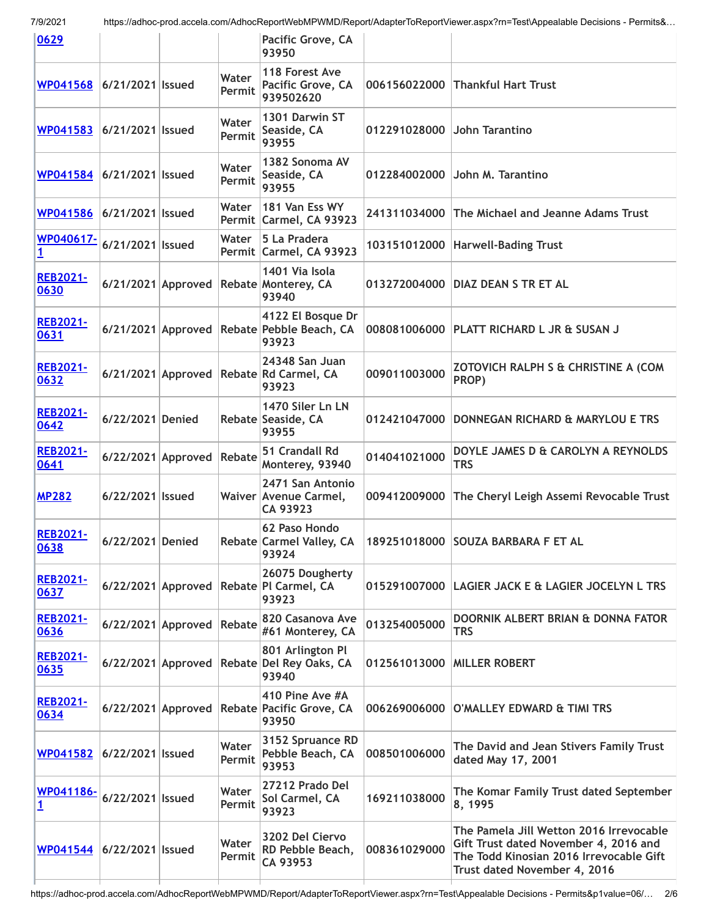| 0629                      |                    |                      |                 | Pacific Grove, CA<br>93950                                               |              |                                                                                                                                                             |
|---------------------------|--------------------|----------------------|-----------------|--------------------------------------------------------------------------|--------------|-------------------------------------------------------------------------------------------------------------------------------------------------------------|
| WP041568                  | 6/21/2021   Issued |                      | Water<br>Permit | 118 Forest Ave<br>Pacific Grove, CA<br>939502620                         | 006156022000 | <b>Thankful Hart Trust</b>                                                                                                                                  |
| WP041583                  | 6/21/2021   Issued |                      | Water<br>Permit | 1301 Darwin ST<br>Seaside, CA<br>93955                                   | 012291028000 | John Tarantino                                                                                                                                              |
| WP041584 6/21/2021 Issued |                    |                      | Water<br>Permit | 1382 Sonoma AV<br>Seaside, CA<br>93955                                   | 012284002000 | John M. Tarantino                                                                                                                                           |
| WP041586 6/21/2021 Issued |                    |                      | Water           | 181 Van Ess WY<br>Permit Carmel, CA 93923                                | 241311034000 | The Michael and Jeanne Adams Trust                                                                                                                          |
| WP040617-<br><u>1</u>     | 6/21/2021   Issued |                      | Water           | 5 La Pradera<br>Permit Carmel, CA 93923                                  | 103151012000 | <b>Harwell-Bading Trust</b>                                                                                                                                 |
| <b>REB2021-</b><br>0630   |                    | $6/21/2021$ Approved |                 | 1401 Via Isola<br>Rebate Monterey, CA<br>93940                           | 013272004000 | <b>DIAZ DEAN S TR ET AL</b>                                                                                                                                 |
| <b>REB2021-</b><br>0631   |                    |                      |                 | 4122 El Bosque Dr<br>6/21/2021 Approved Rebate Pebble Beach, CA<br>93923 | 008081006000 | <b>PLATT RICHARD L JR &amp; SUSAN J</b>                                                                                                                     |
| <b>REB2021-</b><br>0632   |                    | 6/21/2021 Approved   |                 | 24348 San Juan<br>Rebate Rd Carmel, CA<br>93923                          | 009011003000 | ZOTOVICH RALPH S & CHRISTINE A (COM<br>PROP)                                                                                                                |
| <b>REB2021-</b><br>0642   | 6/22/2021 Denied   |                      |                 | 1470 Siler Ln LN<br>Rebate Seaside, CA<br>93955                          | 012421047000 | DONNEGAN RICHARD & MARYLOU E TRS                                                                                                                            |
| <b>REB2021-</b><br>0641   |                    | $6/22/2021$ Approved | Rebate          | 51 Crandall Rd<br>Monterey, 93940                                        | 014041021000 | DOYLE JAMES D & CAROLYN A REYNOLDS<br><b>TRS</b>                                                                                                            |
| <b>MP282</b>              | 6/22/2021   Issued |                      |                 | 2471 San Antonio<br>Waiver Avenue Carmel,<br>CA 93923                    | 009412009000 | The Cheryl Leigh Assemi Revocable Trust                                                                                                                     |
| <b>REB2021-</b><br>0638   | 6/22/2021 Denied   |                      |                 | 62 Paso Hondo<br>Rebate Carmel Valley, CA<br>93924                       |              | 189251018000 SOUZA BARBARA F ET AL                                                                                                                          |
| <b>REB2021-</b><br>0637   |                    |                      |                 | 26075 Dougherty<br>6/22/2021 Approved Rebate PI Carmel, CA<br>93923      | 015291007000 | LAGIER JACK E & LAGIER JOCELYN L TRS                                                                                                                        |
| <b>REB2021-</b><br>0636   |                    | 6/22/2021 Approved   | Rebate          | 820 Casanova Ave<br>#61 Monterey, CA                                     | 013254005000 | DOORNIK ALBERT BRIAN & DONNA FATOR<br>TRS                                                                                                                   |
| <b>REB2021-</b><br>0635   | 6/22/2021 Approved |                      |                 | 801 Arlington Pl<br>Rebate Del Rey Oaks, CA<br>93940                     | 012561013000 | <b>MILLER ROBERT</b>                                                                                                                                        |
| <b>REB2021-</b><br>0634   | 6/22/2021 Approved |                      |                 | 410 Pine Ave #A<br>Rebate Pacific Grove, CA<br>93950                     | 006269006000 | O'MALLEY EDWARD & TIMI TRS                                                                                                                                  |
| <u>WP041582</u>           | 6/22/2021 Issued   |                      | Water<br>Permit | 3152 Spruance RD<br>Pebble Beach, CA<br>93953                            | 008501006000 | The David and Jean Stivers Family Trust<br>dated May 17, 2001                                                                                               |
| WP041186-<br><u>1</u>     | 6/22/2021   Issued |                      | Water<br>Permit | 27212 Prado Del<br>Sol Carmel, CA<br>93923                               | 169211038000 | The Komar Family Trust dated September<br>8, 1995                                                                                                           |
| <b>WP041544</b>           | 6/22/2021   Issued |                      | Water<br>Permit | 3202 Del Ciervo<br>RD Pebble Beach,<br>CA 93953                          | 008361029000 | The Pamela Jill Wetton 2016 Irrevocable<br>Gift Trust dated November 4, 2016 and<br>The Todd Kinosian 2016 Irrevocable Gift<br>Trust dated November 4, 2016 |
|                           |                    |                      |                 |                                                                          |              |                                                                                                                                                             |

https://adhoc-prod.accela.com/AdhocReportWebMPWMD/Report/AdapterToReportViewer.aspx?rn=Test\Appealable Decisions - Permits&p1value=06/… 2/6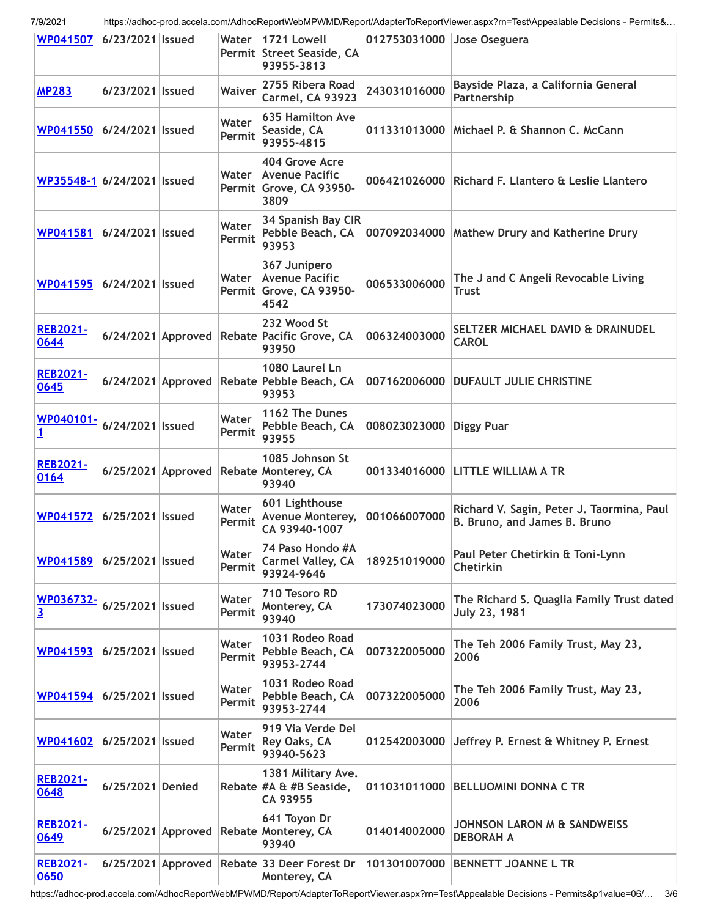| WP041507 6/23/2021 Issued  |                    |                    | Water           | 1721 Lowell<br>Permit Street Seaside, CA<br>93955-3813                   | 012753031000 Jose Oseguera |                                                                           |
|----------------------------|--------------------|--------------------|-----------------|--------------------------------------------------------------------------|----------------------------|---------------------------------------------------------------------------|
| <b>MP283</b>               | 6/23/2021 Issued   |                    | <b>Waiver</b>   | 2755 Ribera Road<br><b>Carmel, CA 93923</b>                              | 243031016000               | Bayside Plaza, a California General<br>Partnership                        |
| WP041550                   | 6/24/2021   Issued |                    | Water<br>Permit | <b>635 Hamilton Ave</b><br>Seaside, CA<br>93955-4815                     | 011331013000               | Michael P. & Shannon C. McCann                                            |
| WP35548-1 6/24/2021 Issued |                    |                    | Water           | 404 Grove Acre<br>Avenue Pacific<br>Permit Grove, CA 93950-<br>3809      |                            | 006421026000 Richard F. Llantero & Leslie Llantero                        |
| WP041581                   | 6/24/2021   Issued |                    | Water<br>Permit | 34 Spanish Bay CIR<br>Pebble Beach, CA<br>93953                          |                            | 007092034000   Mathew Drury and Katherine Drury                           |
| WP041595                   | 6/24/2021   Issued |                    | Water           | 367 Junipero<br><b>Avenue Pacific</b><br>Permit Grove, CA 93950-<br>4542 | 006533006000               | The J and C Angeli Revocable Living<br><b>Trust</b>                       |
| <b>REB2021-</b><br>0644    |                    |                    |                 | 232 Wood St<br>6/24/2021 Approved Rebate Pacific Grove, CA<br>93950      | 006324003000               | SELTZER MICHAEL DAVID & DRAINUDEL<br><b>CAROL</b>                         |
| <b>REB2021-</b><br>0645    |                    |                    |                 | 1080 Laurel Ln<br>6/24/2021 Approved Rebate Pebble Beach, CA<br>93953    | 007162006000               | <b>DUFAULT JULIE CHRISTINE</b>                                            |
| WP040101-<br><u>1</u>      | 6/24/2021   Issued |                    | Water<br>Permit | 1162 The Dunes<br>Pebble Beach, CA<br>93955                              | 008023023000               | <b>Diggy Puar</b>                                                         |
| <b>REB2021-</b><br>0164    |                    |                    |                 | 1085 Johnson St<br>6/25/2021 Approved Rebate Monterey, CA<br>93940       |                            | 001334016000 LITTLE WILLIAM A TR                                          |
| <b>WP041572</b>            | 6/25/2021   Issued |                    | Water<br>Permit | 601 Lighthouse<br>Avenue Monterey,<br>CA 93940-1007                      | 001066007000               | Richard V. Sagin, Peter J. Taormina, Paul<br>B. Bruno, and James B. Bruno |
| WP041589                   | 6/25/2021   Issued |                    | Water<br>Permit | 74 Paso Hondo #A<br><b>Carmel Valley, CA</b><br>93924-9646               | 189251019000               | Paul Peter Chetirkin & Toni-Lynn<br><b>Chetirkin</b>                      |
| WP036732-<br><u>3</u>      | 6/25/2021   Issued |                    | Water<br>Permit | 710 Tesoro RD<br>Monterey, CA<br>93940                                   | 173074023000               | The Richard S. Quaglia Family Trust dated<br>July 23, 1981                |
| WP041593                   | 6/25/2021   Issued |                    | Water<br>Permit | 1031 Rodeo Road<br>Pebble Beach, CA<br>93953-2744                        | 007322005000               | The Teh 2006 Family Trust, May 23,<br>2006                                |
| <b>WP041594</b>            | 6/25/2021 Issued   |                    | Water<br>Permit | 1031 Rodeo Road<br>Pebble Beach, CA<br>93953-2744                        | 007322005000               | The Teh 2006 Family Trust, May 23,<br>2006                                |
| WP041602                   | 6/25/2021   Issued |                    | Water<br>Permit | 919 Via Verde Del<br>Rey Oaks, CA<br>93940-5623                          | 012542003000               | Jeffrey P. Ernest & Whitney P. Ernest                                     |
| <b>REB2021-</b><br>0648    | 6/25/2021 Denied   |                    |                 | 1381 Military Ave.<br>Rebate #A & #B Seaside,<br>CA 93955                |                            | 011031011000 BELLUOMINI DONNA C TR                                        |
| <b>REB2021-</b><br>0649    |                    | 6/25/2021 Approved |                 | 641 Toyon Dr<br><b>Rebate Monterey, CA</b><br>93940                      | 014014002000               | JOHNSON LARON M & SANDWEISS<br><b>DEBORAH A</b>                           |
| <b>REB2021-</b><br>0650    |                    |                    |                 | 6/25/2021 Approved Rebate 33 Deer Forest Dr<br>Monterey, CA              | 101301007000               | <b>BENNETT JOANNE L TR</b>                                                |

https://adhoc-prod.accela.com/AdhocReportWebMPWMD/Report/AdapterToReportViewer.aspx?rn=Test\Appealable Decisions - Permits&p1value=06/… 3/6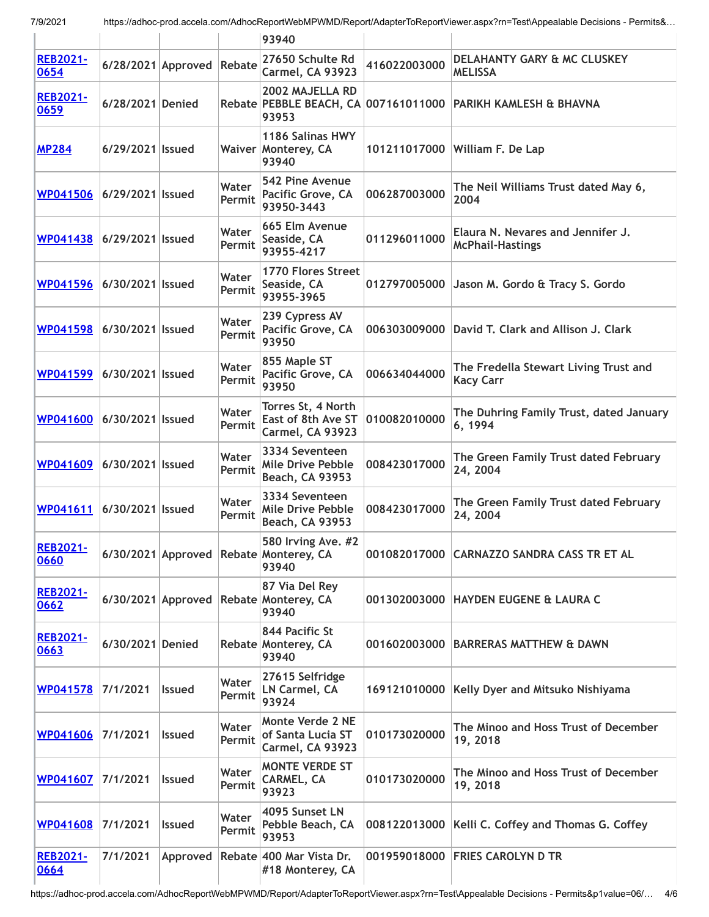|                         |                      |                    |                 | 93940                                                                 |              |                                                              |
|-------------------------|----------------------|--------------------|-----------------|-----------------------------------------------------------------------|--------------|--------------------------------------------------------------|
| <b>REB2021-</b><br>0654 |                      | 6/28/2021 Approved | Rebate          | 27650 Schulte Rd<br>Carmel, CA 93923                                  | 416022003000 | DELAHANTY GARY & MC CLUSKEY<br><b>MELISSA</b>                |
| <b>REB2021-</b><br>0659 | 6/28/2021 Denied     |                    |                 | 2002 MAJELLA RD<br>Rebate PEBBLE BEACH, CA 007161011000<br>93953      |              | PARIKH KAMLESH & BHAVNA                                      |
| <b>MP284</b>            | 6/29/2021 Issued     |                    |                 | 1186 Salinas HWY<br>Waiver Monterey, CA<br>93940                      | 101211017000 | William F. De Lap                                            |
| <b>WP041506</b>         | 6/29/2021   Issued   |                    | Water<br>Permit | 542 Pine Avenue<br>Pacific Grove, CA<br>93950-3443                    | 006287003000 | The Neil Williams Trust dated May 6,<br>2004                 |
| WP041438                | 6/29/2021   Issued   |                    | Water<br>Permit | 665 Elm Avenue<br>Seaside, CA<br>93955-4217                           | 011296011000 | Elaura N. Nevares and Jennifer J.<br><b>McPhail-Hastings</b> |
| WP041596                | 6/30/2021   Issued   |                    | Water<br>Permit | <b>1770 Flores Street</b><br>Seaside, CA<br>93955-3965                | 012797005000 | Jason M. Gordo & Tracy S. Gordo                              |
| <b>WP041598</b>         | 6/30/2021   Issued   |                    | Water<br>Permit | 239 Cypress AV<br>Pacific Grove, CA<br>93950                          | 006303009000 | David T. Clark and Allison J. Clark                          |
| WP041599                | 6/30/2021   Issued   |                    | Water<br>Permit | 855 Maple ST<br>Pacific Grove, CA<br>93950                            | 006634044000 | The Fredella Stewart Living Trust and<br><b>Kacy Carr</b>    |
| <b>WP041600</b>         | 6/30/2021   Issued   |                    | Water<br>Permit | Torres St, 4 North<br>East of 8th Ave ST<br>Carmel, CA 93923          | 010082010000 | The Duhring Family Trust, dated January<br>6, 1994           |
| <b>WP041609</b>         | 6/30/2021   Issued   |                    | Water<br>Permit | 3334 Seventeen<br>Mile Drive Pebble<br>Beach, CA 93953                | 008423017000 | The Green Family Trust dated February<br>24, 2004            |
| WP041611                | 6/30/2021   Issued   |                    | Water<br>Permit | 3334 Seventeen<br>Mile Drive Pebble<br>Beach, CA 93953                | 008423017000 | The Green Family Trust dated February<br>24, 2004            |
| <b>REB2021-</b><br>0660 |                      |                    |                 | 580 Irving Ave. #2<br>6/30/2021 Approved Rebate Monterey, CA<br>93940 |              | 001082017000 CARNAZZO SANDRA CASS TR ET AL                   |
| <b>REB2021-</b><br>0662 | $6/30/2021$ Approved |                    |                 | 87 Via Del Rey<br>Rebate Monterey, CA<br>93940                        | 001302003000 | <b>HAYDEN EUGENE &amp; LAURA C</b>                           |
| <b>REB2021-</b><br>0663 | 6/30/2021 Denied     |                    |                 | 844 Pacific St<br>Rebate Monterey, CA<br>93940                        | 001602003000 | <b>BARRERAS MATTHEW &amp; DAWN</b>                           |
| <b>WP041578</b>         | 7/1/2021             | <b>Issued</b>      | Water<br>Permit | 27615 Selfridge<br>LN Carmel, CA<br>93924                             | 169121010000 | Kelly Dyer and Mitsuko Nishiyama                             |
| <b>WP041606</b>         | 7/1/2021             | <b>Issued</b>      | Water<br>Permit | <b>Monte Verde 2 NE</b><br>of Santa Lucia ST<br>Carmel, CA 93923      | 010173020000 | The Minoo and Hoss Trust of December<br>19, 2018             |
| WP041607                | 7/1/2021             | <b>Issued</b>      | Water<br>Permit | <b>MONTE VERDE ST</b><br>CARMEL, CA<br>93923                          | 010173020000 | The Minoo and Hoss Trust of December<br>19, 2018             |
| <b>WP041608</b>         | 7/1/2021             | <b>Issued</b>      | Water<br>Permit | 4095 Sunset LN<br>Pebble Beach, CA<br>93953                           | 008122013000 | Kelli C. Coffey and Thomas G. Coffey                         |
| <b>REB2021-</b><br>0664 | 7/1/2021             | Approved           |                 | Rebate 400 Mar Vista Dr.<br>#18 Monterey, CA                          | 001959018000 | <b>FRIES CAROLYN D TR</b>                                    |

https://adhoc-prod.accela.com/AdhocReportWebMPWMD/Report/AdapterToReportViewer.aspx?rn=Test\Appealable Decisions - Permits&p1value=06/… 4/6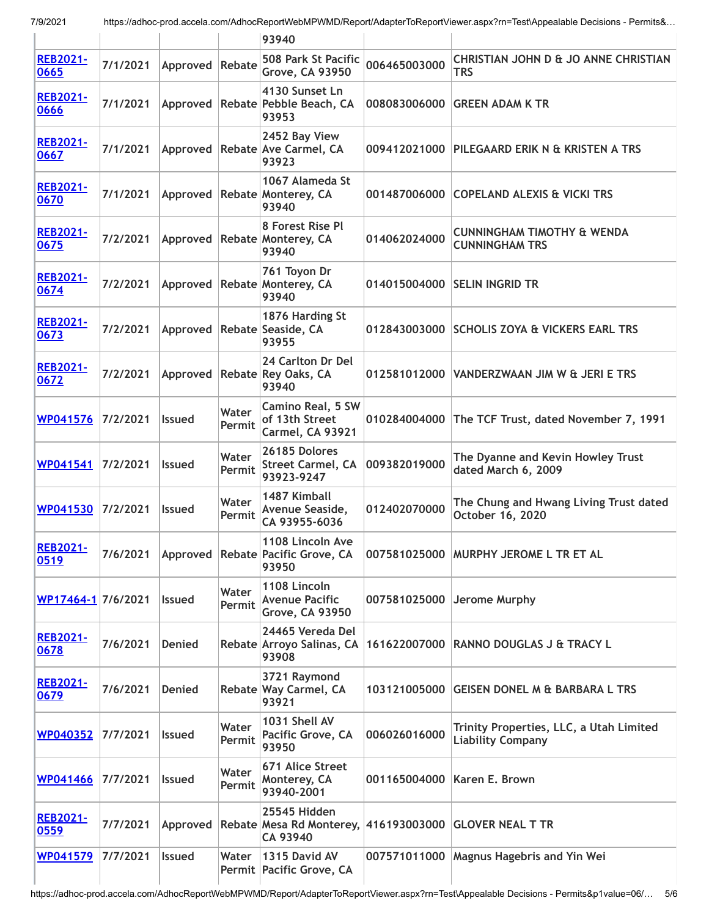|                         |          |               |                 | 93940                                                             |              |                                                                     |
|-------------------------|----------|---------------|-----------------|-------------------------------------------------------------------|--------------|---------------------------------------------------------------------|
| <b>REB2021-</b><br>0665 | 7/1/2021 | Approved      | Rebate          | 508 Park St Pacific<br><b>Grove, CA 93950</b>                     | 006465003000 | CHRISTIAN JOHN D & JO ANNE CHRISTIAN<br><b>TRS</b>                  |
| <b>REB2021-</b><br>0666 | 7/1/2021 | Approved      |                 | 4130 Sunset Ln<br>Rebate Pebble Beach, CA<br>93953                | 008083006000 | <b>GREEN ADAM K TR</b>                                              |
| <b>REB2021-</b><br>0667 | 7/1/2021 | Approved      |                 | 2452 Bay View<br>Rebate Ave Carmel, CA<br>93923                   | 009412021000 | PILEGAARD ERIK N & KRISTEN A TRS                                    |
| <b>REB2021-</b><br>0670 | 7/1/2021 | Approved      |                 | 1067 Alameda St<br><b>Rebate Monterey, CA</b><br>93940            | 001487006000 | <b>COPELAND ALEXIS &amp; VICKI TRS</b>                              |
| <b>REB2021-</b><br>0675 | 7/2/2021 |               |                 | 8 Forest Rise Pl<br>Approved   Rebate   Monterey, CA<br>93940     | 014062024000 | <b>CUNNINGHAM TIMOTHY &amp; WENDA</b><br><b>CUNNINGHAM TRS</b>      |
| <b>REB2021-</b><br>0674 | 7/2/2021 | Approved      |                 | 761 Toyon Dr<br>Rebate Monterey, CA<br>93940                      | 014015004000 | <b>SELIN INGRID TR</b>                                              |
| <b>REB2021-</b><br>0673 | 7/2/2021 | Approved      |                 | 1876 Harding St<br>Rebate Seaside, CA<br>93955                    | 012843003000 | <b>SCHOLIS ZOYA &amp; VICKERS EARL TRS</b>                          |
| <b>REB2021-</b><br>0672 | 7/2/2021 | Approved      |                 | 24 Carlton Dr Del<br><b>Rebate Rey Oaks, CA</b><br>93940          | 012581012000 | VANDERZWAAN JIM W & JERI E TRS                                      |
| WP041576                | 7/2/2021 | <b>Issued</b> | Water<br>Permit | <b>Camino Real, 5 SW</b><br>of 13th Street<br>Carmel, CA 93921    | 010284004000 | The TCF Trust, dated November 7, 1991                               |
| WP041541                | 7/2/2021 | <b>Issued</b> | Water<br>Permit | 26185 Dolores<br><b>Street Carmel, CA</b><br>93923-9247           | 009382019000 | The Dyanne and Kevin Howley Trust<br>dated March 6, 2009            |
| WP041530                | 7/2/2021 | <b>Issued</b> | Water<br>Permit | 1487 Kimball<br>Avenue Seaside,<br>CA 93955-6036                  | 012402070000 | The Chung and Hwang Living Trust dated<br>October 16, 2020          |
| <b>REB2021-</b><br>0519 | 7/6/2021 |               |                 | 1108 Lincoln Ave<br>Approved Rebate Pacific Grove, CA<br>93950    |              | 007581025000 MURPHY JEROME L TR ET AL                               |
| WP17464-1 7/6/2021      |          | <b>Issued</b> | Water<br>Permit | 1108 Lincoln<br><b>Avenue Pacific</b><br><b>Grove, CA 93950</b>   | 007581025000 | Jerome Murphy                                                       |
| <b>REB2021-</b><br>0678 | 7/6/2021 | <b>Denied</b> |                 | 24465 Vereda Del<br>Rebate Arroyo Salinas, CA<br>93908            | 161622007000 | <b>RANNO DOUGLAS J &amp; TRACY L</b>                                |
| <b>REB2021-</b><br>0679 | 7/6/2021 | <b>Denied</b> |                 | 3721 Raymond<br>Rebate Way Carmel, CA<br>93921                    | 103121005000 | <b>GEISEN DONEL M &amp; BARBARA L TRS</b>                           |
| WP040352                | 7/7/2021 | <b>Issued</b> | Water<br>Permit | 1031 Shell AV<br>Pacific Grove, CA<br>93950                       | 006026016000 | Trinity Properties, LLC, a Utah Limited<br><b>Liability Company</b> |
| <b>WP041466</b>         | 7/7/2021 | <b>Issued</b> | Water<br>Permit | 671 Alice Street<br>Monterey, CA<br>93940-2001                    | 001165004000 | Karen E. Brown                                                      |
| <b>REB2021-</b><br>0559 | 7/7/2021 | Approved      |                 | 25545 Hidden<br>Rebate Mesa Rd Monterey, 416193003000<br>CA 93940 |              | <b>GLOVER NEAL T TR</b>                                             |
| WP041579                | 7/7/2021 | <b>Issued</b> | Water           | 1315 David AV<br>Permit   Pacific Grove, CA                       | 007571011000 | <b>Magnus Hagebris and Yin Wei</b>                                  |

https://adhoc-prod.accela.com/AdhocReportWebMPWMD/Report/AdapterToReportViewer.aspx?rn=Test\Appealable Decisions - Permits&p1value=06/… 5/6